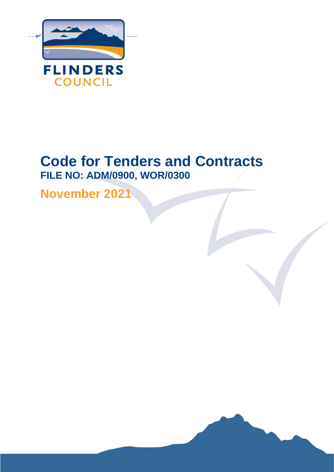

## **Code for Tenders and Contracts FILE NO: ADM/0900, WOR/0300**

Flinders Council l Code for Tenders and Contracts Page **1** of **34**

**November 2021**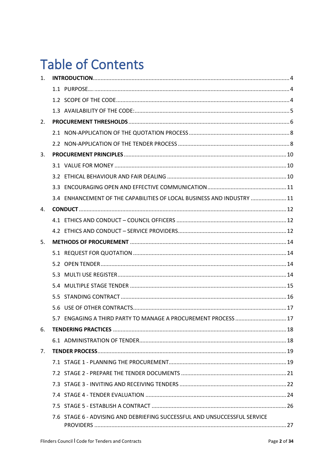## **Table of Contents**

| 1. |                                                                           |  |
|----|---------------------------------------------------------------------------|--|
|    |                                                                           |  |
|    |                                                                           |  |
|    |                                                                           |  |
| 2. |                                                                           |  |
|    |                                                                           |  |
|    |                                                                           |  |
| 3. |                                                                           |  |
|    |                                                                           |  |
|    |                                                                           |  |
|    |                                                                           |  |
|    | 3.4 ENHANCEMENT OF THE CAPABILITIES OF LOCAL BUSINESS AND INDUSTRY  11    |  |
| 4. |                                                                           |  |
|    |                                                                           |  |
|    |                                                                           |  |
| 5. |                                                                           |  |
|    |                                                                           |  |
|    |                                                                           |  |
|    |                                                                           |  |
|    |                                                                           |  |
|    |                                                                           |  |
|    |                                                                           |  |
|    | 5.7 ENGAGING A THIRD PARTY TO MANAGE A PROCUREMENT PROCESS  17            |  |
| 6. |                                                                           |  |
|    |                                                                           |  |
| 7. |                                                                           |  |
|    |                                                                           |  |
|    |                                                                           |  |
|    |                                                                           |  |
|    |                                                                           |  |
|    |                                                                           |  |
|    | 7.6 STAGE 6 - ADVISING AND DEBRIEFING SUCCESSFUL AND UNSUCCESSFUL SERVICE |  |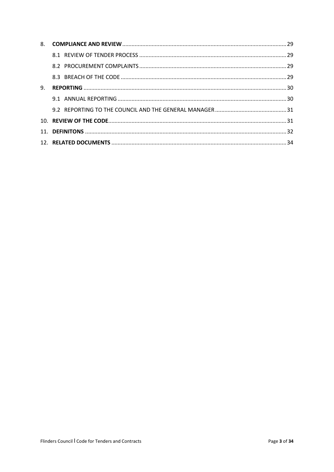| 9. |  |  |
|----|--|--|
|    |  |  |
|    |  |  |
|    |  |  |
|    |  |  |
|    |  |  |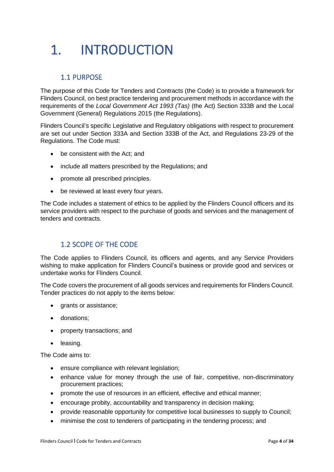# <span id="page-3-0"></span>1. INTRODUCTION

## <span id="page-3-1"></span>1.1 PURPOSE

The purpose of this Code for Tenders and Contracts (the Code) is to provide a framework for Flinders Council, on best practice tendering and procurement methods in accordance with the requirements of the *Local Government Act 1993 (Tas)* (the Act) Section 333B and the Local Government (General) Regulations 2015 (the Regulations).

Flinders Council's specific Legislative and Regulatory obligations with respect to procurement are set out under Section 333A and Section 333B of the Act, and Regulations 23-29 of the Regulations. The Code must:

- be consistent with the Act; and
- include all matters prescribed by the Regulations; and
- promote all prescribed principles.
- be reviewed at least every four years.

The Code includes a statement of ethics to be applied by the Flinders Council officers and its service providers with respect to the purchase of goods and services and the management of tenders and contracts.

## <span id="page-3-2"></span>1.2 SCOPE OF THE CODE

The Code applies to Flinders Council, its officers and agents, and any Service Providers wishing to make application for Flinders Council's business or provide good and services or undertake works for Flinders Council.

The Code covers the procurement of all goods services and requirements for Flinders Council. Tender practices do not apply to the items below:

- grants or assistance;
- donations;
- property transactions; and
- leasing.

The Code aims to:

- ensure compliance with relevant legislation:
- enhance value for money through the use of fair, competitive, non-discriminatory procurement practices;
- promote the use of resources in an efficient, effective and ethical manner;
- encourage probity, accountability and transparency in decision making;
- provide reasonable opportunity for competitive local businesses to supply to Council;
- minimise the cost to tenderers of participating in the tendering process; and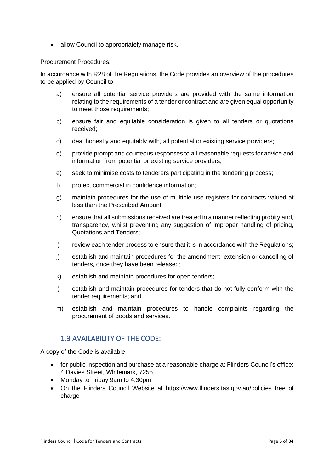• allow Council to appropriately manage risk.

#### Procurement Procedures:

In accordance with R28 of the Regulations, the Code provides an overview of the procedures to be applied by Council to:

- a) ensure all potential service providers are provided with the same information relating to the requirements of a tender or contract and are given equal opportunity to meet those requirements;
- b) ensure fair and equitable consideration is given to all tenders or quotations received;
- c) deal honestly and equitably with, all potential or existing service providers;
- d) provide prompt and courteous responses to all reasonable requests for advice and information from potential or existing service providers;
- e) seek to minimise costs to tenderers participating in the tendering process;
- f) protect commercial in confidence information;
- g) maintain procedures for the use of multiple-use registers for contracts valued at less than the Prescribed Amount;
- h) ensure that all submissions received are treated in a manner reflecting probity and, transparency, whilst preventing any suggestion of improper handling of pricing, Quotations and Tenders;
- i) review each tender process to ensure that it is in accordance with the Regulations;
- j) establish and maintain procedures for the amendment, extension or cancelling of tenders, once they have been released;
- k) establish and maintain procedures for open tenders;
- l) establish and maintain procedures for tenders that do not fully conform with the tender requirements; and
- m) establish and maintain procedures to handle complaints regarding the procurement of goods and services.

### <span id="page-4-0"></span>1.3 AVAILABILITY OF THE CODE:

A copy of the Code is available:

- for public inspection and purchase at a reasonable charge at Flinders Council's office: 4 Davies Street, Whitemark, 7255
- Monday to Friday 9am to 4.30pm
- On the Flinders Council Website at <https://www.flinders.tas.gov.au/policies> free of charge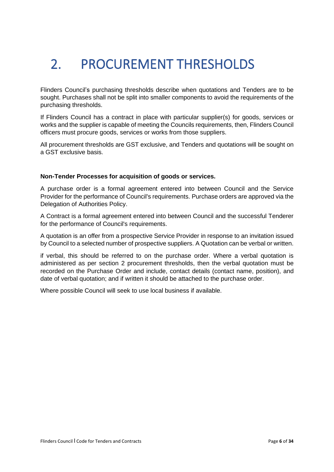# <span id="page-5-0"></span>2. PROCUREMENT THRESHOLDS

Flinders Council's purchasing thresholds describe when quotations and Tenders are to be sought. Purchases shall not be split into smaller components to avoid the requirements of the purchasing thresholds.

If Flinders Council has a contract in place with particular supplier(s) for goods, services or works and the supplier is capable of meeting the Councils requirements, then, Flinders Council officers must procure goods, services or works from those suppliers.

All procurement thresholds are GST exclusive, and Tenders and quotations will be sought on a GST exclusive basis.

#### **Non-Tender Processes for acquisition of goods or services.**

A purchase order is a formal agreement entered into between Council and the Service Provider for the performance of Council's requirements. Purchase orders are approved via the Delegation of Authorities Policy.

A Contract is a formal agreement entered into between Council and the successful Tenderer for the performance of Council's requirements.

A quotation is an offer from a prospective Service Provider in response to an invitation issued by Council to a selected number of prospective suppliers. A Quotation can be verbal or written.

if verbal, this should be referred to on the purchase order. Where a verbal quotation is administered as per section 2 procurement thresholds, then the verbal quotation must be recorded on the Purchase Order and include, contact details (contact name, position), and date of verbal quotation; and if written it should be attached to the purchase order.

Where possible Council will seek to use local business if available.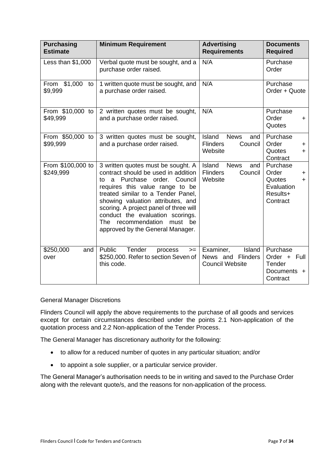| <b>Purchasing</b><br><b>Estimate</b> | <b>Minimum Requirement</b>                                                                                                                                                                                                                                                                                                                                                       | <b>Advertising</b><br><b>Requirements</b>                                    | <b>Documents</b><br><b>Required</b>                                                 |
|--------------------------------------|----------------------------------------------------------------------------------------------------------------------------------------------------------------------------------------------------------------------------------------------------------------------------------------------------------------------------------------------------------------------------------|------------------------------------------------------------------------------|-------------------------------------------------------------------------------------|
| Less than \$1,000                    | Verbal quote must be sought, and a<br>purchase order raised.                                                                                                                                                                                                                                                                                                                     | N/A                                                                          | Purchase<br>Order                                                                   |
| From \$1,000<br>to<br>\$9,999        | 1 written quote must be sought, and<br>a purchase order raised.                                                                                                                                                                                                                                                                                                                  | N/A                                                                          | Purchase<br>Order + Quote                                                           |
| From \$10,000 to<br>\$49,999         | 2 written quotes must be sought,<br>and a purchase order raised.                                                                                                                                                                                                                                                                                                                 | N/A                                                                          | Purchase<br>Order<br>÷<br>Quotes                                                    |
| From \$50,000 to<br>\$99,999         | 3 written quotes must be sought,<br>and a purchase order raised.                                                                                                                                                                                                                                                                                                                 | Island<br><b>News</b><br>and<br><b>Flinders</b><br>Council<br>Website        | Purchase<br>Order<br>+<br>Quotes<br>$\ddot{}$<br>Contract                           |
| From \$100,000 to<br>\$249,999       | 3 written quotes must be sought. A<br>contract should be used in addition<br>a Purchase order.<br>Council<br>to<br>requires this value range to be<br>treated similar to a Tender Panel,<br>showing valuation attributes, and<br>scoring. A project panel of three will<br>conduct the evaluation scorings.<br>The recommendation<br>must be<br>approved by the General Manager. | <b>Island</b><br><b>News</b><br>and<br><b>Flinders</b><br>Council<br>Website | Purchase<br>Order<br>÷<br>Quotes<br>$\ddot{}$<br>Evaluation<br>Results+<br>Contract |
| \$250,000<br>and<br>over             | Tender<br>Public<br>process<br>$>=$<br>\$250,000. Refer to section Seven of<br>this code.                                                                                                                                                                                                                                                                                        | <b>Island</b><br>Examiner,<br>News and Flinders<br><b>Council Website</b>    | Purchase<br>Order + Full<br>Tender<br>Documents +<br>Contract                       |

#### General Manager Discretions

Flinders Council will apply the above requirements to the purchase of all goods and services except for certain circumstances described under the points 2.1 Non-application of the quotation process and 2.2 Non-application of the Tender Process.

The General Manager has discretionary authority for the following:

- to allow for a reduced number of quotes in any particular situation; and/or
- to appoint a sole supplier, or a particular service provider.

The General Manager's authorisation needs to be in writing and saved to the Purchase Order along with the relevant quote/s, and the reasons for non-application of the process.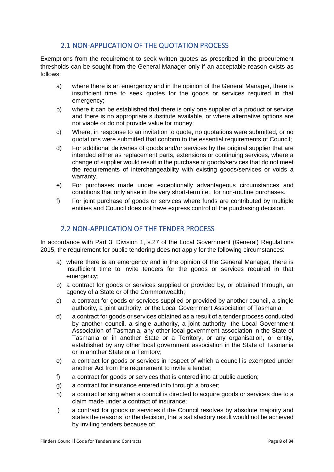## <span id="page-7-0"></span>2.1 NON-APPLICATION OF THE QUOTATION PROCESS

Exemptions from the requirement to seek written quotes as prescribed in the procurement thresholds can be sought from the General Manager only if an acceptable reason exists as follows:

- a) where there is an emergency and in the opinion of the General Manager, there is insufficient time to seek quotes for the goods or services required in that emergency;
- b) where it can be established that there is only one supplier of a product or service and there is no appropriate substitute available, or where alternative options are not viable or do not provide value for money;
- c) Where, in response to an invitation to quote, no quotations were submitted, or no quotations were submitted that conform to the essential requirements of Council;
- d) For additional deliveries of goods and/or services by the original supplier that are intended either as replacement parts, extensions or continuing services, where a change of supplier would result in the purchase of goods/services that do not meet the requirements of interchangeability with existing goods/services or voids a warranty.
- e) For purchases made under exceptionally advantageous circumstances and conditions that only arise in the very short-term i.e., for non-routine purchases.
- f) For joint purchase of goods or services where funds are contributed by multiple entities and Council does not have express control of the purchasing decision.

## <span id="page-7-1"></span>2.2 NON-APPLICATION OF THE TENDER PROCESS

In accordance with Part 3, Division 1, s.27 of the Local Government (General) Regulations 2015, the requirement for public tendering does not apply for the following circumstances:

- a) where there is an emergency and in the opinion of the General Manager, there is insufficient time to invite tenders for the goods or services required in that emergency;
- b) a contract for goods or services supplied or provided by, or obtained through, an agency of a State or of the Commonwealth;
- c) a contract for goods or services supplied or provided by another council, a single authority, a joint authority, or the Local Government Association of Tasmania;
- d) a contract for goods or services obtained as a result of a tender process conducted by another council, a single authority, a joint authority, the Local Government Association of Tasmania, any other local government association in the State of Tasmania or in another State or a Territory, or any organisation, or entity, established by any other local government association in the State of Tasmania or in another State or a Territory;
- e) a contract for goods or services in respect of which a council is exempted under another Act from the requirement to invite a tender;
- f) a contract for goods or services that is entered into at public auction;
- g) a contract for insurance entered into through a broker;
- h) a contract arising when a council is directed to acquire goods or services due to a claim made under a contract of insurance;
- i) a contract for goods or services if the Council resolves by absolute majority and states the reasons for the decision, that a satisfactory result would not be achieved by inviting tenders because of: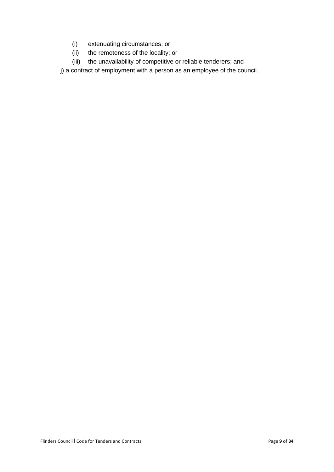- (i) extenuating circumstances; or
- (ii) the remoteness of the locality; or
- (iii) the unavailability of competitive or reliable tenderers; and

j) a contract of employment with a person as an employee of the council.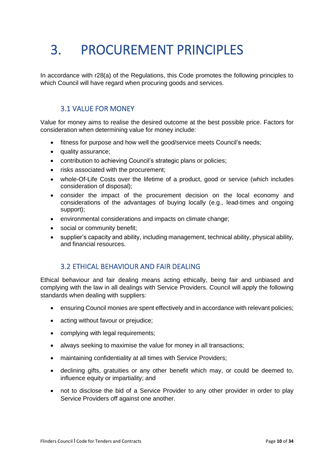## <span id="page-9-0"></span>3. PROCUREMENT PRINCIPLES

In accordance with r28(a) of the Regulations, this Code promotes the following principles to which Council will have regard when procuring goods and services.

## <span id="page-9-1"></span>3.1 VALUE FOR MONEY

Value for money aims to realise the desired outcome at the best possible price. Factors for consideration when determining value for money include:

- fitness for purpose and how well the good/service meets Council's needs;
- quality assurance;
- contribution to achieving Council's strategic plans or policies;
- risks associated with the procurement;
- whole-Of-Life Costs over the lifetime of a product, good or service (which includes consideration of disposal);
- consider the impact of the procurement decision on the local economy and considerations of the advantages of buying locally (e.g., lead-times and ongoing support);
- environmental considerations and impacts on climate change;
- social or community benefit:
- supplier's capacity and ability, including management, technical ability, physical ability, and financial resources.

### <span id="page-9-2"></span>3.2 ETHICAL BEHAVIOUR AND FAIR DEALING

Ethical behaviour and fair dealing means acting ethically, being fair and unbiased and complying with the law in all dealings with Service Providers. Council will apply the following standards when dealing with suppliers:

- ensuring Council monies are spent effectively and in accordance with relevant policies;
- acting without favour or prejudice;
- complying with legal requirements;
- always seeking to maximise the value for money in all transactions;
- maintaining confidentiality at all times with Service Providers;
- declining gifts, gratuities or any other benefit which may, or could be deemed to, influence equity or impartiality; and
- not to disclose the bid of a Service Provider to any other provider in order to play Service Providers off against one another.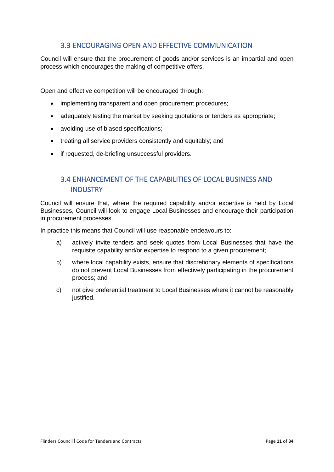## <span id="page-10-0"></span>3.3 ENCOURAGING OPEN AND EFFECTIVE COMMUNICATION

Council will ensure that the procurement of goods and/or services is an impartial and open process which encourages the making of competitive offers.

Open and effective competition will be encouraged through:

- implementing transparent and open procurement procedures;
- adequately testing the market by seeking quotations or tenders as appropriate;
- avoiding use of biased specifications;
- treating all service providers consistently and equitably; and
- if requested, de-briefing unsuccessful providers.

## <span id="page-10-1"></span>3.4 ENHANCEMENT OF THE CAPABILITIES OF LOCAL BUSINESS AND INDUSTRY

Council will ensure that, where the required capability and/or expertise is held by Local Businesses, Council will look to engage Local Businesses and encourage their participation in procurement processes.

In practice this means that Council will use reasonable endeavours to:

- a) actively invite tenders and seek quotes from Local Businesses that have the requisite capability and/or expertise to respond to a given procurement;
- b) where local capability exists, ensure that discretionary elements of specifications do not prevent Local Businesses from effectively participating in the procurement process; and
- c) not give preferential treatment to Local Businesses where it cannot be reasonably justified.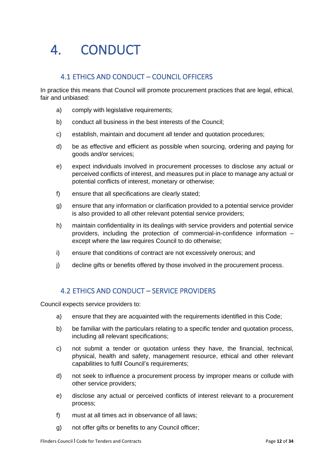## <span id="page-11-0"></span>4. CONDUCT

## <span id="page-11-1"></span>4.1 ETHICS AND CONDUCT – COUNCIL OFFICERS

In practice this means that Council will promote procurement practices that are legal, ethical, fair and unbiased:

- a) comply with legislative requirements;
- b) conduct all business in the best interests of the Council;
- c) establish, maintain and document all tender and quotation procedures;
- d) be as effective and efficient as possible when sourcing, ordering and paying for goods and/or services;
- e) expect individuals involved in procurement processes to disclose any actual or perceived conflicts of interest, and measures put in place to manage any actual or potential conflicts of interest, monetary or otherwise;
- f) ensure that all specifications are clearly stated;
- g) ensure that any information or clarification provided to a potential service provider is also provided to all other relevant potential service providers;
- h) maintain confidentiality in its dealings with service providers and potential service providers, including the protection of commercial-in-confidence information – except where the law requires Council to do otherwise;
- i) ensure that conditions of contract are not excessively onerous; and
- j) decline gifts or benefits offered by those involved in the procurement process.

### <span id="page-11-2"></span>4.2 ETHICS AND CONDUCT – SERVICE PROVIDERS

Council expects service providers to:

- a) ensure that they are acquainted with the requirements identified in this Code;
- b) be familiar with the particulars relating to a specific tender and quotation process, including all relevant specifications;
- c) not submit a tender or quotation unless they have, the financial, technical, physical, health and safety, management resource, ethical and other relevant capabilities to fulfil Council's requirements;
- d) not seek to influence a procurement process by improper means or collude with other service providers;
- e) disclose any actual or perceived conflicts of interest relevant to a procurement process;
- f) must at all times act in observance of all laws;
- g) not offer gifts or benefits to any Council officer;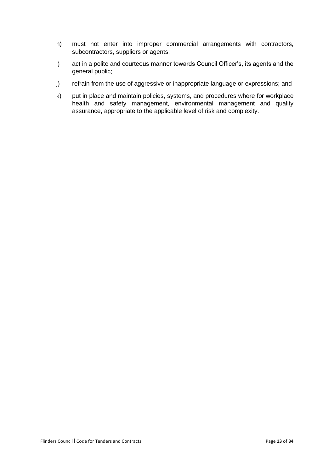- h) must not enter into improper commercial arrangements with contractors, subcontractors, suppliers or agents;
- i) act in a polite and courteous manner towards Council Officer's, its agents and the general public;
- j) refrain from the use of aggressive or inappropriate language or expressions; and
- k) put in place and maintain policies, systems, and procedures where for workplace health and safety management, environmental management and quality assurance, appropriate to the applicable level of risk and complexity.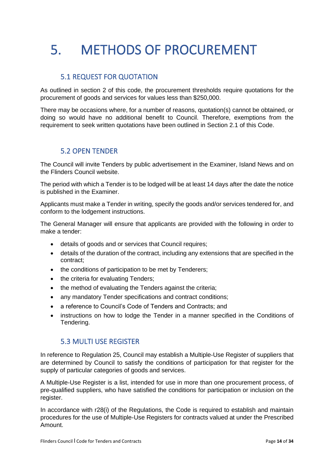# <span id="page-13-0"></span>5. METHODS OF PROCUREMENT

## <span id="page-13-1"></span>5.1 REQUEST FOR QUOTATION

As outlined in section 2 of this code, the procurement thresholds require quotations for the procurement of goods and services for values less than \$250,000.

There may be occasions where, for a number of reasons, quotation(s) cannot be obtained, or doing so would have no additional benefit to Council. Therefore, exemptions from the requirement to seek written quotations have been outlined in Section 2.1 of this Code.

### <span id="page-13-2"></span>5.2 OPEN TENDER

The Council will invite Tenders by public advertisement in the Examiner, Island News and on the Flinders Council website.

The period with which a Tender is to be lodged will be at least 14 days after the date the notice is published in the Examiner.

Applicants must make a Tender in writing, specify the goods and/or services tendered for, and conform to the lodgement instructions.

The General Manager will ensure that applicants are provided with the following in order to make a tender:

- details of goods and or services that Council requires;
- details of the duration of the contract, including any extensions that are specified in the contract;
- the conditions of participation to be met by Tenderers;
- the criteria for evaluating Tenders;
- the method of evaluating the Tenders against the criteria;
- any mandatory Tender specifications and contract conditions;
- a reference to Council's Code of Tenders and Contracts; and
- instructions on how to lodge the Tender in a manner specified in the Conditions of Tendering.

### <span id="page-13-3"></span>5.3 MULTI USE REGISTER

In reference to Regulation 25, Council may establish a Multiple-Use Register of suppliers that are determined by Council to satisfy the conditions of participation for that register for the supply of particular categories of goods and services.

A Multiple-Use Register is a list, intended for use in more than one procurement process, of pre-qualified suppliers, who have satisfied the conditions for participation or inclusion on the register.

In accordance with r28(i) of the Regulations, the Code is required to establish and maintain procedures for the use of Multiple-Use Registers for contracts valued at under the Prescribed Amount.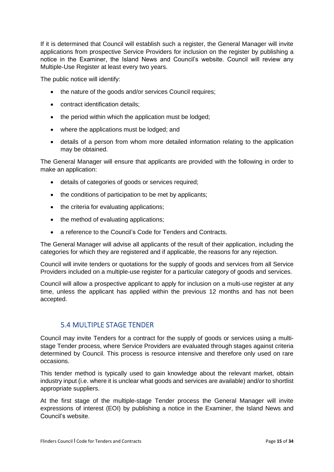If it is determined that Council will establish such a register, the General Manager will invite applications from prospective Service Providers for inclusion on the register by publishing a notice in the Examiner, the Island News and Council's website. Council will review any Multiple-Use Register at least every two years.

The public notice will identify:

- the nature of the goods and/or services Council requires:
- contract identification details;
- the period within which the application must be lodged;
- where the applications must be lodged; and
- details of a person from whom more detailed information relating to the application may be obtained.

The General Manager will ensure that applicants are provided with the following in order to make an application:

- details of categories of goods or services required;
- the conditions of participation to be met by applicants;
- the criteria for evaluating applications;
- the method of evaluating applications;
- a reference to the Council's Code for Tenders and Contracts.

The General Manager will advise all applicants of the result of their application, including the categories for which they are registered and if applicable, the reasons for any rejection.

Council will invite tenders or quotations for the supply of goods and services from all Service Providers included on a multiple-use register for a particular category of goods and services.

Council will allow a prospective applicant to apply for inclusion on a multi-use register at any time, unless the applicant has applied within the previous 12 months and has not been accepted.

### <span id="page-14-0"></span>5.4 MULTIPLE STAGE TENDER

Council may invite Tenders for a contract for the supply of goods or services using a multistage Tender process, where Service Providers are evaluated through stages against criteria determined by Council. This process is resource intensive and therefore only used on rare occasions.

This tender method is typically used to gain knowledge about the relevant market, obtain industry input (i.e. where it is unclear what goods and services are available) and/or to shortlist appropriate suppliers.

At the first stage of the multiple-stage Tender process the General Manager will invite expressions of interest (EOI) by publishing a notice in the Examiner, the Island News and Council's website.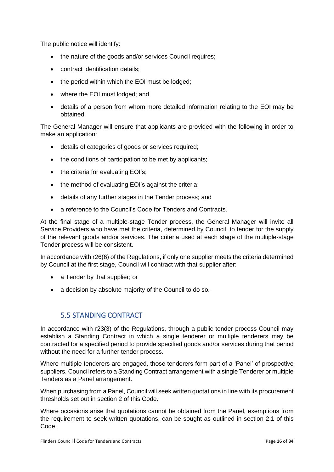The public notice will identify:

- the nature of the goods and/or services Council requires;
- contract identification details;
- the period within which the EOI must be lodged;
- where the EOI must lodged; and
- details of a person from whom more detailed information relating to the EOI may be obtained.

The General Manager will ensure that applicants are provided with the following in order to make an application:

- details of categories of goods or services required;
- the conditions of participation to be met by applicants:
- the criteria for evaluating EOI's;
- the method of evaluating EOI's against the criteria;
- details of any further stages in the Tender process; and
- a reference to the Council's Code for Tenders and Contracts.

At the final stage of a multiple-stage Tender process, the General Manager will invite all Service Providers who have met the criteria, determined by Council, to tender for the supply of the relevant goods and/or services. The criteria used at each stage of the multiple-stage Tender process will be consistent.

In accordance with r26(6) of the Regulations, if only one supplier meets the criteria determined by Council at the first stage, Council will contract with that supplier after:

- a Tender by that supplier: or
- a decision by absolute majority of the Council to do so.

### <span id="page-15-0"></span>5.5 STANDING CONTRACT

In accordance with r23(3) of the Regulations, through a public tender process Council may establish a Standing Contract in which a single tenderer or multiple tenderers may be contracted for a specified period to provide specified goods and/or services during that period without the need for a further tender process.

Where multiple tenderers are engaged, those tenderers form part of a 'Panel' of prospective suppliers. Council refers to a Standing Contract arrangement with a single Tenderer or multiple Tenders as a Panel arrangement.

When purchasing from a Panel, Council will seek written quotations in line with its procurement thresholds set out in section 2 of this Code.

Where occasions arise that quotations cannot be obtained from the Panel, exemptions from the requirement to seek written quotations, can be sought as outlined in section 2.1 of this Code.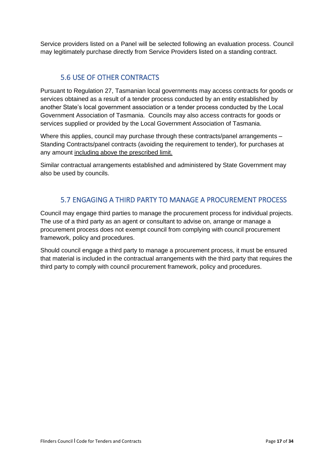Service providers listed on a Panel will be selected following an evaluation process. Council may legitimately purchase directly from Service Providers listed on a standing contract.

## <span id="page-16-0"></span>5.6 USE OF OTHER CONTRACTS

Pursuant to Regulation 27, Tasmanian local governments may access contracts for goods or services obtained as a result of a tender process conducted by an entity established by another State's local government association or a tender process conducted by the Local Government Association of Tasmania. Councils may also access contracts for goods or services supplied or provided by the Local Government Association of Tasmania.

Where this applies, council may purchase through these contracts/panel arrangements – Standing Contracts/panel contracts (avoiding the requirement to tender), for purchases at any amount including above the prescribed limit.

Similar contractual arrangements established and administered by State Government may also be used by councils.

## <span id="page-16-1"></span>5.7 ENGAGING A THIRD PARTY TO MANAGE A PROCUREMENT PROCESS

Council may engage third parties to manage the procurement process for individual projects. The use of a third party as an agent or consultant to advise on, arrange or manage a procurement process does not exempt council from complying with council procurement framework, policy and procedures.

Should council engage a third party to manage a procurement process, it must be ensured that material is included in the contractual arrangements with the third party that requires the third party to comply with council procurement framework, policy and procedures.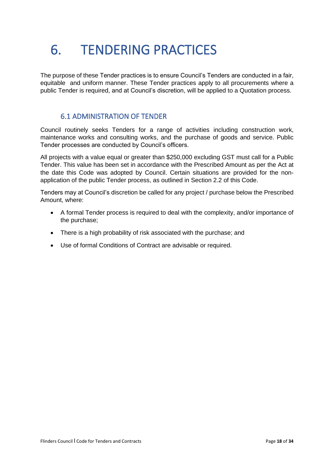## <span id="page-17-0"></span>6. TENDERING PRACTICES

The purpose of these Tender practices is to ensure Council's Tenders are conducted in a fair, equitable and uniform manner. These Tender practices apply to all procurements where a public Tender is required, and at Council's discretion, will be applied to a Quotation process.

### <span id="page-17-1"></span>6.1 ADMINISTRATION OF TENDER

Council routinely seeks Tenders for a range of activities including construction work, maintenance works and consulting works, and the purchase of goods and service. Public Tender processes are conducted by Council's officers.

All projects with a value equal or greater than \$250,000 excluding GST must call for a Public Tender. This value has been set in accordance with the Prescribed Amount as per the Act at the date this Code was adopted by Council. Certain situations are provided for the nonapplication of the public Tender process, as outlined in Section 2.2 of this Code.

Tenders may at Council's discretion be called for any project / purchase below the Prescribed Amount, where:

- A formal Tender process is required to deal with the complexity, and/or importance of the purchase;
- There is a high probability of risk associated with the purchase; and
- Use of formal Conditions of Contract are advisable or required.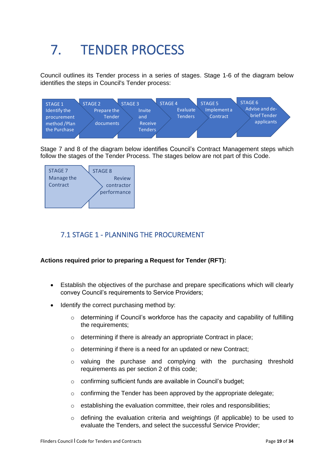# <span id="page-18-0"></span>7. TENDER PROCESS

Council outlines its Tender process in a series of stages. Stage 1-6 of the diagram below identifies the steps in Council's Tender process:



Stage 7 and 8 of the diagram below identifies Council's Contract Management steps which follow the stages of the Tender Process. The stages below are not part of this Code.



## <span id="page-18-1"></span>7.1 STAGE 1 - PLANNING THE PROCUREMENT

#### **Actions required prior to preparing a Request for Tender (RFT):**

- Establish the objectives of the purchase and prepare specifications which will clearly convey Council's requirements to Service Providers;
- Identify the correct purchasing method by:
	- $\circ$  determining if Council's workforce has the capacity and capability of fulfilling the requirements;
	- o determining if there is already an appropriate Contract in place;
	- o determining if there is a need for an updated or new Contract;
	- $\circ$  valuing the purchase and complying with the purchasing threshold requirements as per section 2 of this code;
	- o confirming sufficient funds are available in Council's budget;
	- $\circ$  confirming the Tender has been approved by the appropriate delegate;
	- $\circ$  establishing the evaluation committee, their roles and responsibilities;
	- o defining the evaluation criteria and weightings (if applicable) to be used to evaluate the Tenders, and select the successful Service Provider;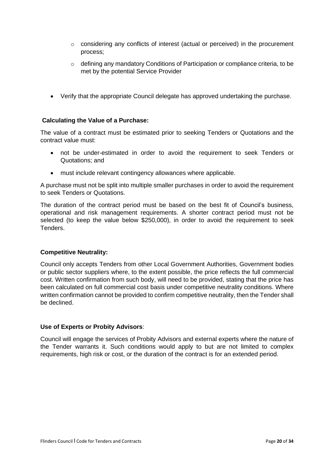- o considering any conflicts of interest (actual or perceived) in the procurement process;
- o defining any mandatory Conditions of Participation or compliance criteria, to be met by the potential Service Provider
- Verify that the appropriate Council delegate has approved undertaking the purchase.

#### **Calculating the Value of a Purchase:**

The value of a contract must be estimated prior to seeking Tenders or Quotations and the contract value must:

- not be under-estimated in order to avoid the requirement to seek Tenders or Quotations; and
- must include relevant contingency allowances where applicable.

A purchase must not be split into multiple smaller purchases in order to avoid the requirement to seek Tenders or Quotations.

The duration of the contract period must be based on the best fit of Council's business, operational and risk management requirements. A shorter contract period must not be selected (to keep the value below \$250,000), in order to avoid the requirement to seek **Tenders** 

#### **Competitive Neutrality:**

Council only accepts Tenders from other Local Government Authorities, Government bodies or public sector suppliers where, to the extent possible, the price reflects the full commercial cost. Written confirmation from such body, will need to be provided, stating that the price has been calculated on full commercial cost basis under competitive neutrality conditions. Where written confirmation cannot be provided to confirm competitive neutrality, then the Tender shall be declined.

#### **Use of Experts or Probity Advisors**:

Council will engage the services of Probity Advisors and external experts where the nature of the Tender warrants it. Such conditions would apply to but are not limited to complex requirements, high risk or cost, or the duration of the contract is for an extended period.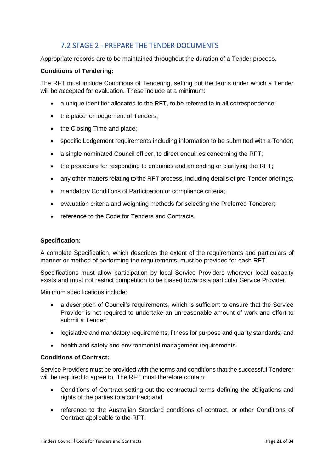## <span id="page-20-0"></span>7.2 STAGE 2 - PREPARE THE TENDER DOCUMENTS

Appropriate records are to be maintained throughout the duration of a Tender process.

#### **Conditions of Tendering:**

The RFT must include Conditions of Tendering, setting out the terms under which a Tender will be accepted for evaluation. These include at a minimum:

- a unique identifier allocated to the RFT, to be referred to in all correspondence;
- the place for lodgement of Tenders;
- the Closing Time and place;
- specific Lodgement requirements including information to be submitted with a Tender;
- a single nominated Council officer, to direct enquiries concerning the RFT;
- the procedure for responding to enquiries and amending or clarifying the RFT;
- any other matters relating to the RFT process, including details of pre-Tender briefings;
- mandatory Conditions of Participation or compliance criteria;
- evaluation criteria and weighting methods for selecting the Preferred Tenderer;
- reference to the Code for Tenders and Contracts.

#### **Specification:**

A complete Specification, which describes the extent of the requirements and particulars of manner or method of performing the requirements, must be provided for each RFT.

Specifications must allow participation by local Service Providers wherever local capacity exists and must not restrict competition to be biased towards a particular Service Provider.

Minimum specifications include:

- a description of Council's requirements, which is sufficient to ensure that the Service Provider is not required to undertake an unreasonable amount of work and effort to submit a Tender;
- legislative and mandatory requirements, fitness for purpose and quality standards; and
- health and safety and environmental management requirements.

#### **Conditions of Contract:**

Service Providers must be provided with the terms and conditions that the successful Tenderer will be required to agree to. The RFT must therefore contain:

- Conditions of Contract setting out the contractual terms defining the obligations and rights of the parties to a contract; and
- reference to the Australian Standard conditions of contract, or other Conditions of Contract applicable to the RFT.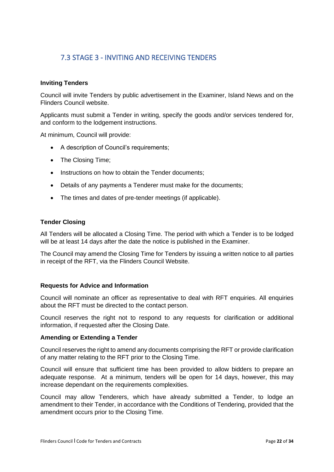## <span id="page-21-0"></span>7.3 STAGE 3 - INVITING AND RECEIVING TENDERS

#### **Inviting Tenders**

Council will invite Tenders by public advertisement in the Examiner, Island News and on the Flinders Council website.

Applicants must submit a Tender in writing, specify the goods and/or services tendered for, and conform to the lodgement instructions.

At minimum, Council will provide:

- A description of Council's requirements;
- The Closing Time;
- Instructions on how to obtain the Tender documents;
- Details of any payments a Tenderer must make for the documents;
- The times and dates of pre-tender meetings (if applicable).

#### **Tender Closing**

All Tenders will be allocated a Closing Time. The period with which a Tender is to be lodged will be at least 14 days after the date the notice is published in the Examiner.

The Council may amend the Closing Time for Tenders by issuing a written notice to all parties in receipt of the RFT, via the Flinders Council Website.

#### **Requests for Advice and Information**

Council will nominate an officer as representative to deal with RFT enquiries. All enquiries about the RFT must be directed to the contact person.

Council reserves the right not to respond to any requests for clarification or additional information, if requested after the Closing Date.

#### **Amending or Extending a Tender**

Council reserves the right to amend any documents comprising the RFT or provide clarification of any matter relating to the RFT prior to the Closing Time.

Council will ensure that sufficient time has been provided to allow bidders to prepare an adequate response. At a minimum, tenders will be open for 14 days, however, this may increase dependant on the requirements complexities.

Council may allow Tenderers, which have already submitted a Tender, to lodge an amendment to their Tender, in accordance with the Conditions of Tendering, provided that the amendment occurs prior to the Closing Time.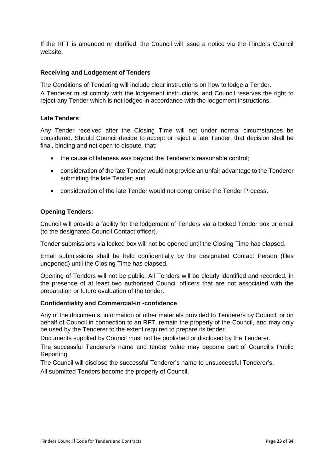If the RFT is amended or clarified, the Council will issue a notice via the Flinders Council website.

#### **Receiving and Lodgement of Tenders**

The Conditions of Tendering will include clear instructions on how to lodge a Tender.

A Tenderer must comply with the lodgement instructions, and Council reserves the right to reject any Tender which is not lodged in accordance with the lodgement instructions.

#### **Late Tenders**

Any Tender received after the Closing Time will not under normal circumstances be considered. Should Council decide to accept or reject a late Tender, that decision shall be final, binding and not open to dispute, that:

- the cause of lateness was bevond the Tenderer's reasonable control:
- consideration of the late Tender would not provide an unfair advantage to the Tenderer submitting the late Tender; and
- consideration of the late Tender would not compromise the Tender Process.

#### **Opening Tenders:**

Council will provide a facility for the lodgement of Tenders via a locked Tender box or email (to the designated Council Contact officer).

Tender submissions via locked box will not be opened until the Closing Time has elapsed.

Email submissions shall be held confidentially by the designated Contact Person (files unopened) until the Closing Time has elapsed.

Opening of Tenders will not be public. All Tenders will be clearly identified and recorded, in the presence of at least two authorised Council officers that are not associated with the preparation or future evaluation of the tender.

#### **Confidentiality and Commercial-in -confidence**

Any of the documents, information or other materials provided to Tenderers by Council, or on behalf of Council in connection to an RFT, remain the property of the Council, and may only be used by the Tenderer to the extent required to prepare its tender.

Documents supplied by Council must not be published or disclosed by the Tenderer.

The successful Tenderer's name and tender value may become part of Council's Public Reporting.

The Council will disclose the successful Tenderer's name to unsuccessful Tenderer's.

All submitted Tenders become the property of Council.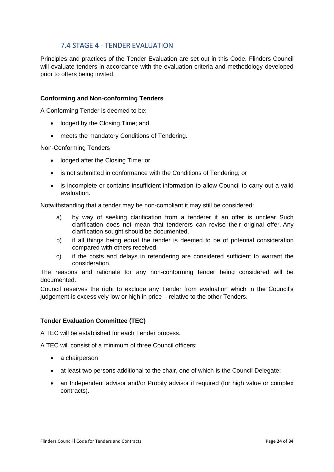## <span id="page-23-0"></span>7.4 STAGE 4 - TENDER EVALUATION

Principles and practices of the Tender Evaluation are set out in this Code. Flinders Council will evaluate tenders in accordance with the evaluation criteria and methodology developed prior to offers being invited.

#### **Conforming and Non-conforming Tenders**

A Conforming Tender is deemed to be:

- lodged by the Closing Time; and
- meets the mandatory Conditions of Tendering.

Non-Conforming Tenders

- lodged after the Closing Time; or
- is not submitted in conformance with the Conditions of Tendering; or
- is incomplete or contains insufficient information to allow Council to carry out a valid evaluation.

Notwithstanding that a tender may be non-compliant it may still be considered:

- a) by way of seeking clarification from a tenderer if an offer is unclear. Such clarification does not mean that tenderers can revise their original offer. Any clarification sought should be documented.
- b) if all things being equal the tender is deemed to be of potential consideration compared with others received.
- c) if the costs and delays in retendering are considered sufficient to warrant the consideration.

The reasons and rationale for any non-conforming tender being considered will be documented.

Council reserves the right to exclude any Tender from evaluation which in the Council's judgement is excessively low or high in price – relative to the other Tenders.

#### **Tender Evaluation Committee (TEC)**

A TEC will be established for each Tender process.

A TEC will consist of a minimum of three Council officers:

- a chairperson
- at least two persons additional to the chair, one of which is the Council Delegate;
- an Independent advisor and/or Probity advisor if required (for high value or complex contracts).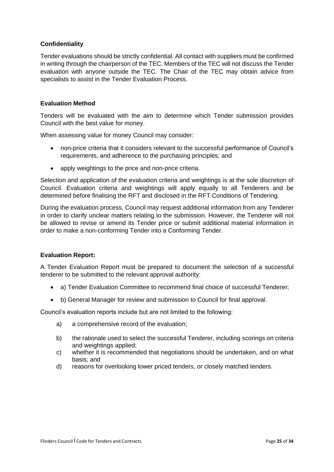#### **Confidentiality**

Tender evaluations should be strictly confidential. All contact with suppliers must be confirmed in writing through the chairperson of the TEC. Members of the TEC will not discuss the Tender evaluation with anyone outside the TEC. The Chair of the TEC may obtain advice from specialists to assist in the Tender Evaluation Process.

#### **Evaluation Method**

Tenders will be evaluated with the aim to determine which Tender submission provides Council with the best value for money.

When assessing value for money Council may consider:

- non-price criteria that it considers relevant to the successful performance of Council's requirements, and adherence to the purchasing principles; and
- apply weightings to the price and non-price criteria.

Selection and application of the evaluation criteria and weightings is at the sole discretion of Council. Evaluation criteria and weightings will apply equally to all Tenderers and be determined before finalising the RFT and disclosed in the RFT Conditions of Tendering.

During the evaluation process, Council may request additional information from any Tenderer in order to clarify unclear matters relating to the submission. However, the Tenderer will not be allowed to revise or amend its Tender price or submit additional material information in order to make a non-conforming Tender into a Conforming Tender.

#### **Evaluation Report:**

A Tender Evaluation Report must be prepared to document the selection of a successful tenderer to be submitted to the relevant approval authority:

- a) Tender Evaluation Committee to recommend final choice of successful Tenderer;
- b) General Manager for review and submission to Council for final approval.

Council's evaluation reports include but are not limited to the following:

- a) a comprehensive record of the evaluation;
- b) the rationale used to select the successful Tenderer, including scorings on criteria and weightings applied;
- c) whether it is recommended that negotiations should be undertaken, and on what basis; and
- d) reasons for overlooking lower priced tenders, or closely matched tenders.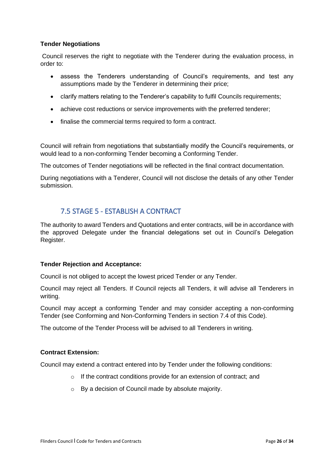#### **Tender Negotiations**

Council reserves the right to negotiate with the Tenderer during the evaluation process, in order to:

- assess the Tenderers understanding of Council's requirements, and test any assumptions made by the Tenderer in determining their price;
- clarify matters relating to the Tenderer's capability to fulfil Councils requirements;
- achieve cost reductions or service improvements with the preferred tenderer;
- finalise the commercial terms required to form a contract.

Council will refrain from negotiations that substantially modify the Council's requirements, or would lead to a non-conforming Tender becoming a Conforming Tender.

The outcomes of Tender negotiations will be reflected in the final contract documentation.

During negotiations with a Tenderer, Council will not disclose the details of any other Tender submission.

### <span id="page-25-0"></span>7.5 STAGE 5 - ESTABLISH A CONTRACT

The authority to award Tenders and Quotations and enter contracts, will be in accordance with the approved Delegate under the financial delegations set out in Council's Delegation Register.

#### **Tender Rejection and Acceptance:**

Council is not obliged to accept the lowest priced Tender or any Tender.

Council may reject all Tenders. If Council rejects all Tenders, it will advise all Tenderers in writing.

Council may accept a conforming Tender and may consider accepting a non-conforming Tender (see Conforming and Non-Conforming Tenders in section 7.4 of this Code).

The outcome of the Tender Process will be advised to all Tenderers in writing.

#### **Contract Extension:**

Council may extend a contract entered into by Tender under the following conditions:

- o If the contract conditions provide for an extension of contract; and
- o By a decision of Council made by absolute majority.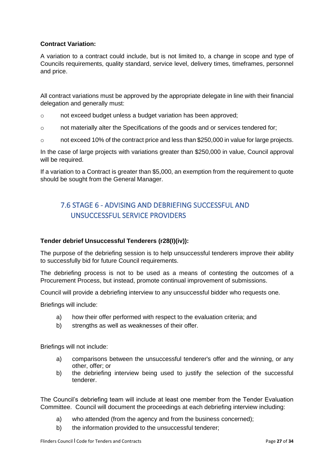#### **Contract Variation:**

A variation to a contract could include, but is not limited to, a change in scope and type of Councils requirements, quality standard, service level, delivery times, timeframes, personnel and price.

All contract variations must be approved by the appropriate delegate in line with their financial delegation and generally must:

- o not exceed budget unless a budget variation has been approved;
- o not materially alter the Specifications of the goods and or services tendered for;
- o not exceed 10% of the contract price and less than \$250,000 in value for large projects.

In the case of large projects with variations greater than \$250,000 in value, Council approval will be required.

If a variation to a Contract is greater than \$5,000, an exemption from the requirement to quote should be sought from the General Manager.

## <span id="page-26-0"></span>7.6 STAGE 6 - ADVISING AND DEBRIEFING SUCCESSFUL AND UNSUCCESSFUL SERVICE PROVIDERS

#### **Tender debrief Unsuccessful Tenderers (r28(I)(iv)):**

The purpose of the debriefing session is to help unsuccessful tenderers improve their ability to successfully bid for future Council requirements.

The debriefing process is not to be used as a means of contesting the outcomes of a Procurement Process, but instead, promote continual improvement of submissions.

Council will provide a debriefing interview to any unsuccessful bidder who requests one.

Briefings will include:

- a) how their offer performed with respect to the evaluation criteria; and
- b) strengths as well as weaknesses of their offer.

Briefings will not include:

- a) comparisons between the unsuccessful tenderer's offer and the winning, or any other, offer; or
- b) the debriefing interview being used to justify the selection of the successful tenderer.

The Council's debriefing team will include at least one member from the Tender Evaluation Committee. Council will document the proceedings at each debriefing interview including:

- a) who attended (from the agency and from the business concerned);
- b) the information provided to the unsuccessful tenderer;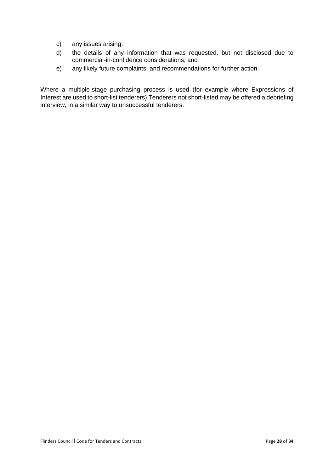- c) any issues arising;
- d) the details of any information that was requested, but not disclosed due to commercial-in-confidence considerations; and
- e) any likely future complaints, and recommendations for further action.

Where a multiple-stage purchasing process is used (for example where Expressions of Interest are used to short-list tenderers) Tenderers not short-listed may be offered a debriefing interview, in a similar way to unsuccessful tenderers.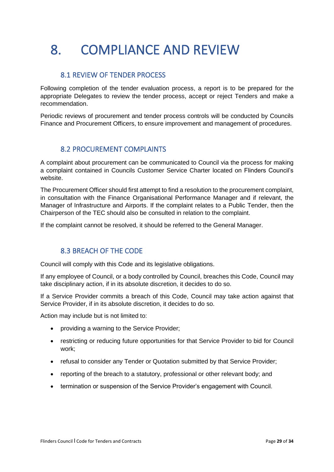# <span id="page-28-0"></span>8. COMPLIANCE AND REVIEW

## <span id="page-28-1"></span>8.1 REVIEW OF TENDER PROCESS

Following completion of the tender evaluation process, a report is to be prepared for the appropriate Delegates to review the tender process, accept or reject Tenders and make a recommendation.

Periodic reviews of procurement and tender process controls will be conducted by Councils Finance and Procurement Officers, to ensure improvement and management of procedures.

### <span id="page-28-2"></span>8.2 PROCUREMENT COMPLAINTS

A complaint about procurement can be communicated to Council via the process for making a complaint contained in Councils Customer Service Charter located on Flinders Council's website.

The Procurement Officer should first attempt to find a resolution to the procurement complaint, in consultation with the Finance Organisational Performance Manager and if relevant, the Manager of Infrastructure and Airports. If the complaint relates to a Public Tender, then the Chairperson of the TEC should also be consulted in relation to the complaint.

If the complaint cannot be resolved, it should be referred to the General Manager.

### <span id="page-28-3"></span>8.3 BREACH OF THE CODE

Council will comply with this Code and its legislative obligations.

If any employee of Council, or a body controlled by Council, breaches this Code, Council may take disciplinary action, if in its absolute discretion, it decides to do so.

If a Service Provider commits a breach of this Code, Council may take action against that Service Provider, if in its absolute discretion, it decides to do so.

Action may include but is not limited to:

- providing a warning to the Service Provider;
- restricting or reducing future opportunities for that Service Provider to bid for Council work;
- refusal to consider any Tender or Quotation submitted by that Service Provider;
- reporting of the breach to a statutory, professional or other relevant body; and
- termination or suspension of the Service Provider's engagement with Council.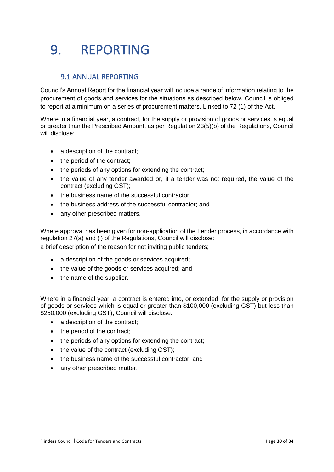## <span id="page-29-0"></span>9. REPORTING

## <span id="page-29-1"></span>9.1 ANNUAL REPORTING

Council's Annual Report for the financial year will include a range of information relating to the procurement of goods and services for the situations as described below. Council is obliged to report at a minimum on a series of procurement matters. Linked to 72 (1) of the Act.

Where in a financial year, a contract, for the supply or provision of goods or services is equal or greater than the Prescribed Amount, as per Regulation 23(5)(b) of the Regulations, Council will disclose:

- a description of the contract;
- the period of the contract;
- the periods of any options for extending the contract;
- the value of any tender awarded or, if a tender was not required, the value of the contract (excluding GST);
- the business name of the successful contractor;
- the business address of the successful contractor; and
- any other prescribed matters.

Where approval has been given for non-application of the Tender process, in accordance with regulation 27(a) and (i) of the Regulations, Council will disclose:

a brief description of the reason for not inviting public tenders;

- a description of the goods or services acquired;
- the value of the goods or services acquired; and
- the name of the supplier.

Where in a financial year, a contract is entered into, or extended, for the supply or provision of goods or services which is equal or greater than \$100,000 (excluding GST) but less than \$250,000 (excluding GST), Council will disclose:

- a description of the contract:
- the period of the contract;
- the periods of any options for extending the contract:
- the value of the contract (excluding GST);
- the business name of the successful contractor; and
- any other prescribed matter.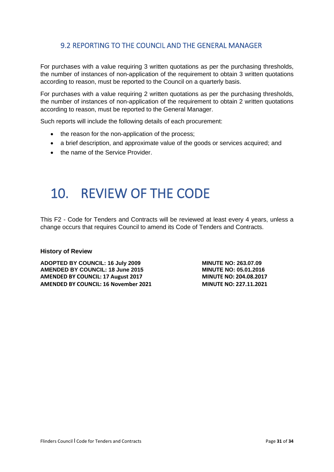## <span id="page-30-0"></span>9.2 REPORTING TO THE COUNCIL AND THE GENERAL MANAGER

For purchases with a value requiring 3 written quotations as per the purchasing thresholds, the number of instances of non-application of the requirement to obtain 3 written quotations according to reason, must be reported to the Council on a quarterly basis.

For purchases with a value requiring 2 written quotations as per the purchasing thresholds, the number of instances of non-application of the requirement to obtain 2 written quotations according to reason, must be reported to the General Manager.

Such reports will include the following details of each procurement:

- the reason for the non-application of the process;
- a brief description, and approximate value of the goods or services acquired; and
- the name of the Service Provider.

## <span id="page-30-1"></span>10. REVIEW OF THE CODE

This F2 - Code for Tenders and Contracts will be reviewed at least every 4 years, unless a change occurs that requires Council to amend its Code of Tenders and Contracts.

#### **History of Review**

**ADOPTED BY COUNCIL: 16 July 2009 MINUTE NO: 263.07.09**<br>AMENDED BY COUNCIL: 18 June 2015 MINUTE NO: 05.01.2016 **AMENDED BY COUNCIL: 18 June 2015 AMENDED BY COUNCIL: 17 August 2017 MINUTE NO: 204.08.2017 AMENDED BY COUNCIL: 16 November 2021 MINUTE NO: 227.11.2021**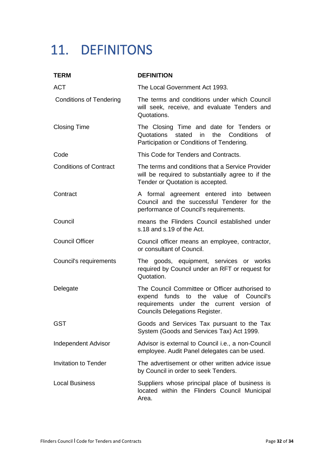## <span id="page-31-0"></span>11. DEFINITONS

| <b>TERM</b>                    | <b>DEFINITION</b>                                                                                                                                                                 |
|--------------------------------|-----------------------------------------------------------------------------------------------------------------------------------------------------------------------------------|
| <b>ACT</b>                     | The Local Government Act 1993.                                                                                                                                                    |
| <b>Conditions of Tendering</b> | The terms and conditions under which Council<br>will seek, receive, and evaluate Tenders and<br>Quotations.                                                                       |
| <b>Closing Time</b>            | The Closing Time and date for Tenders<br>or<br>Quotations stated<br>the<br>Conditions<br>in<br>0f<br>Participation or Conditions of Tendering.                                    |
| Code                           | This Code for Tenders and Contracts.                                                                                                                                              |
| <b>Conditions of Contract</b>  | The terms and conditions that a Service Provider<br>will be required to substantially agree to if the<br>Tender or Quotation is accepted.                                         |
| Contract                       | A formal agreement entered into between<br>Council and the successful Tenderer for the<br>performance of Council's requirements.                                                  |
| Council                        | means the Flinders Council established under<br>s.18 and s.19 of the Act.                                                                                                         |
| <b>Council Officer</b>         | Council officer means an employee, contractor,<br>or consultant of Council.                                                                                                       |
| Council's requirements         | The goods, equipment, services or works<br>required by Council under an RFT or request for<br>Quotation.                                                                          |
| Delegate                       | The Council Committee or Officer authorised to<br>expend funds<br>to the value of Council's<br>requirements under the current version of<br><b>Councils Delegations Register.</b> |
| <b>GST</b>                     | Goods and Services Tax pursuant to the Tax<br>System (Goods and Services Tax) Act 1999.                                                                                           |
| <b>Independent Advisor</b>     | Advisor is external to Council <i>i.e.</i> , a non-Council<br>employee. Audit Panel delegates can be used.                                                                        |
| <b>Invitation to Tender</b>    | The advertisement or other written advice issue<br>by Council in order to seek Tenders.                                                                                           |
| <b>Local Business</b>          | Suppliers whose principal place of business is<br>located within the Flinders Council Municipal<br>Area.                                                                          |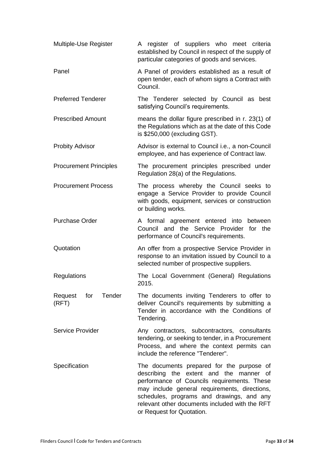| Multiple-Use Register             | A register of suppliers who meet criteria<br>established by Council in respect of the supply of<br>particular categories of goods and services.                                                                                                                                                                  |
|-----------------------------------|------------------------------------------------------------------------------------------------------------------------------------------------------------------------------------------------------------------------------------------------------------------------------------------------------------------|
| Panel                             | A Panel of providers established as a result of<br>open tender, each of whom signs a Contract with<br>Council.                                                                                                                                                                                                   |
| <b>Preferred Tenderer</b>         | The Tenderer selected by Council as best<br>satisfying Council's requirements.                                                                                                                                                                                                                                   |
| <b>Prescribed Amount</b>          | means the dollar figure prescribed in r. 23(1) of<br>the Regulations which as at the date of this Code<br>is \$250,000 (excluding GST).                                                                                                                                                                          |
| <b>Probity Advisor</b>            | Advisor is external to Council <i>i.e.</i> , a non-Council<br>employee, and has experience of Contract law.                                                                                                                                                                                                      |
| <b>Procurement Principles</b>     | The procurement principles prescribed under<br>Regulation 28(a) of the Regulations.                                                                                                                                                                                                                              |
| <b>Procurement Process</b>        | The process whereby the Council seeks to<br>engage a Service Provider to provide Council<br>with goods, equipment, services or construction<br>or building works.                                                                                                                                                |
| <b>Purchase Order</b>             | A formal agreement entered into<br>between<br>Council and the Service Provider for the<br>performance of Council's requirements.                                                                                                                                                                                 |
| Quotation                         | An offer from a prospective Service Provider in<br>response to an invitation issued by Council to a<br>selected number of prospective suppliers.                                                                                                                                                                 |
| Regulations                       | The Local Government (General) Regulations<br>2015.                                                                                                                                                                                                                                                              |
| Tender<br>Request<br>for<br>(RFT) | The documents inviting Tenderers to offer to<br>deliver Council's requirements by submitting a<br>Tender in accordance with the Conditions of<br>Tendering.                                                                                                                                                      |
| <b>Service Provider</b>           | Any contractors, subcontractors, consultants<br>tendering, or seeking to tender, in a Procurement<br>Process, and where the context permits can<br>include the reference "Tenderer".                                                                                                                             |
| Specification                     | The documents prepared for the purpose of<br>describing the extent and the manner of<br>performance of Councils requirements. These<br>may include general requirements, directions,<br>schedules, programs and drawings, and any<br>relevant other documents included with the RFT<br>or Request for Quotation. |